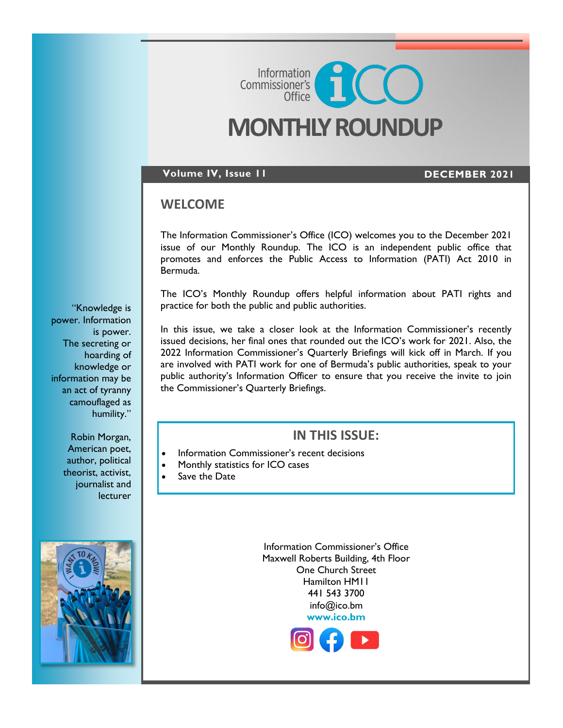# **MONTHLY ROUNDUP**

Commissioner's<br>Commissioner's

### **Volume IV, Issue 11 DECEMBER 2021**

## **WELCOME**

The Information Commissioner's Office (ICO) welcomes you to the December 2021 issue of our Monthly Roundup. The ICO is an independent public office that promotes and enforces the Public Access to Information (PATI) Act 2010 in Bermuda.

The ICO's Monthly Roundup offers helpful information about PATI rights and practice for both the public and public authorities.

In this issue, we take a closer look at the Information Commissioner's recently issued decisions, her final ones that rounded out the ICO's work for 2021. Also, the 2022 Information Commissioner's Quarterly Briefings will kick off in March. If you are involved with PATI work for one of Bermuda's public authorities, speak to your public authority's Information Officer to ensure that you receive the invite to join the Commissioner's Quarterly Briefings.

# **IN THIS ISSUE:**

- Information Commissioner's recent decisions
- Monthly statistics for ICO cases
- Save the Date

Information Commissioner's Office Maxwell Roberts Building, 4th Floor One Church Street Hamilton HM11 441 543 3700 info@ico.bm **[www.ico.bm](https://www.ico.bm/)**



"Knowledge is power. Information is power. The secreting or hoarding of knowledge or information may be an act of tyranny camouflaged as humility."

> Robin Morgan, American poet, author, political theorist, activist, journalist and lecturer

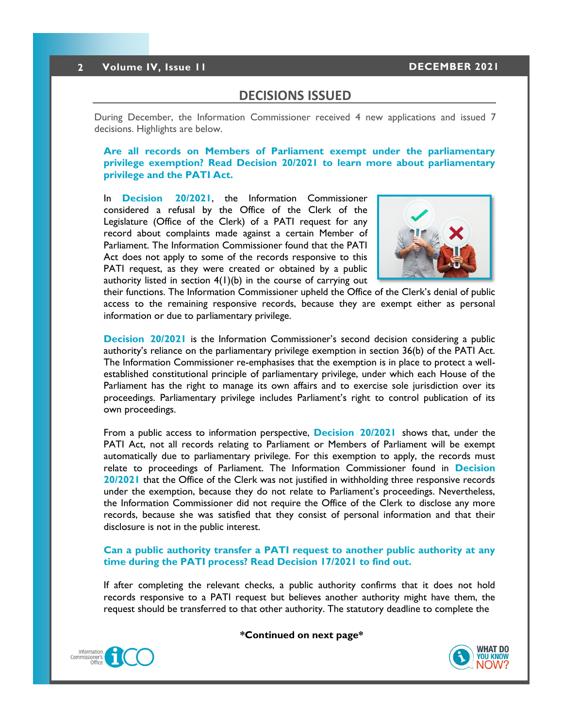### **DECISIONS ISSUED**

During December, the Information Commissioner received 4 new applications and issued 7 decisions. Highlights are below.

**Are all records on Members of Parliament exempt under the parliamentary privilege exemption? Read [Decision 20/2021](https://8692bafe-a59b-4adf-8b95-61e6b6541d57.filesusr.com/ugd/5803dc_a9dc0ecc95034832bdebd94845e658cb.pdf) to learn more about parliamentary privilege and the PATI Act.**

In **[Decision 20/2021](https://8692bafe-a59b-4adf-8b95-61e6b6541d57.filesusr.com/ugd/5803dc_a9dc0ecc95034832bdebd94845e658cb.pdf)**, the Information Commissioner considered a refusal by the Office of the Clerk of the Legislature (Office of the Clerk) of a PATI request for any record about complaints made against a certain Member of Parliament. The Information Commissioner found that the PATI Act does not apply to some of the records responsive to this PATI request, as they were created or obtained by a public authority listed in section  $4(1)(b)$  in the course of carrying out



their functions. The Information Commissioner upheld the Office of the Clerk's denial of public access to the remaining responsive records, because they are exempt either as personal information or due to parliamentary privilege.

**[Decision 20/2021](https://8692bafe-a59b-4adf-8b95-61e6b6541d57.filesusr.com/ugd/5803dc_a9dc0ecc95034832bdebd94845e658cb.pdf)** is the Information Commissioner's second decision considering a public authority's reliance on the parliamentary privilege exemption in section 36(b) of the PATI Act. The Information Commissioner re-emphasises that the exemption is in place to protect a wellestablished constitutional principle of parliamentary privilege, under which each House of the Parliament has the right to manage its own affairs and to exercise sole jurisdiction over its proceedings. Parliamentary privilege includes Parliament's right to control publication of its own proceedings.

From a public access to information perspective, **[Decision 20/2021](https://8692bafe-a59b-4adf-8b95-61e6b6541d57.filesusr.com/ugd/5803dc_a9dc0ecc95034832bdebd94845e658cb.pdf)** shows that, under the PATI Act, not all records relating to Parliament or Members of Parliament will be exempt automatically due to parliamentary privilege. For this exemption to apply, the records must relate to proceedings of Parliament. The Information Commissioner found in **[Decision](https://8692bafe-a59b-4adf-8b95-61e6b6541d57.filesusr.com/ugd/5803dc_a9dc0ecc95034832bdebd94845e658cb.pdf)  [20/2021](https://8692bafe-a59b-4adf-8b95-61e6b6541d57.filesusr.com/ugd/5803dc_a9dc0ecc95034832bdebd94845e658cb.pdf)** that the Office of the Clerk was not justified in withholding three responsive records under the exemption, because they do not relate to Parliament's proceedings. Nevertheless, the Information Commissioner did not require the Office of the Clerk to disclose any more records, because she was satisfied that they consist of personal information and that their disclosure is not in the public interest.

### **Can a public authority transfer a PATI request to another public authority at any time during the PATI process? Read [Decision 17/2021](https://8692bafe-a59b-4adf-8b95-61e6b6541d57.filesusr.com/ugd/5803dc_ff6627fc71a84f6dbb7132283b423309.pdf) to find out.**

If after completing the relevant checks, a public authority confirms that it does not hold records responsive to a PATI request but believes another authority might have them, the request should be transferred to that other authority. The statutory deadline to complete the

**\*Continued on next page\***



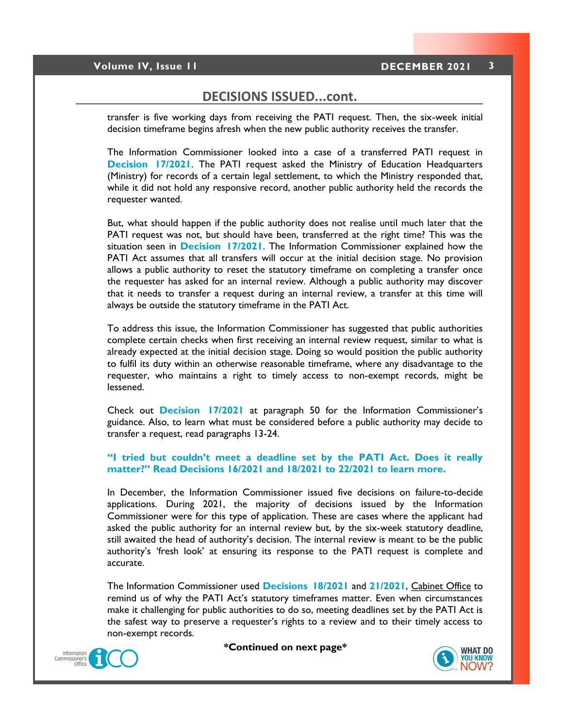# **DECISIONS ISSUED...cont.**

transfer is five working days from receiving the PATI request. Then, the six-week initial decision timeframe begins afresh when the new public authority receives the transfer.

The Information Commissioner looked into a case of a transferred PATI request in **[Decision 17/2021](https://8692bafe-a59b-4adf-8b95-61e6b6541d57.filesusr.com/ugd/5803dc_ff6627fc71a84f6dbb7132283b423309.pdf)**. The PATI request asked the Ministry of Education Headquarters (Ministry) for records of a certain legal settlement, to which the Ministry responded that, while it did not hold any responsive record, another public authority held the records the requester wanted.

But, what should happen if the public authority does not realise until much later that the PATI request was not, but should have been, transferred at the right time? This was the situation seen in **[Decision 17/2021](https://8692bafe-a59b-4adf-8b95-61e6b6541d57.filesusr.com/ugd/5803dc_ff6627fc71a84f6dbb7132283b423309.pdf)**. The Information Commissioner explained how the PATI Act assumes that all transfers will occur at the initial decision stage. No provision allows a public authority to reset the statutory timeframe on completing a transfer once the requester has asked for an internal review. Although a public authority may discover that it needs to transfer a request during an internal review, a transfer at this time will always be outside the statutory timeframe in the PATI Act.

To address this issue, the Information Commissioner has suggested that public authorities complete certain checks when first receiving an internal review request, similar to what is already expected at the initial decision stage. Doing so would position the public authority to fulfil its duty within an otherwise reasonable timeframe, where any disadvantage to the requester, who maintains a right to timely access to non-exempt records, might be lessened.

Check out **[Decision 17/2021](https://8692bafe-a59b-4adf-8b95-61e6b6541d57.filesusr.com/ugd/5803dc_ff6627fc71a84f6dbb7132283b423309.pdf)** at paragraph 50 for the Information Commissioner's guidance. Also, to learn what must be considered before a public authority may decide to transfer a request, read paragraphs 13-24.

### **"I tried but couldn't meet a deadline set by the PATI Act. Does it really matter?" Read [Decisions 16/2021](https://8692bafe-a59b-4adf-8b95-61e6b6541d57.filesusr.com/ugd/5803dc_75e382048aca443da564c43c43a41257.pdf) and [18/2021 to 22/2021](https://www.ico.bm/decisions) to learn more.**

In December, the Information Commissioner issued five decisions on failure-to-decide applications. During 2021, the majority of decisions issued by the Information Commissioner were for this type of application. These are cases where the applicant had asked the public authority for an internal review but, by the six-week statutory deadline, still awaited the head of authority's decision. The internal review is meant to be the public authority's 'fresh look' at ensuring its response to the PATI request is complete and accurate.

The Information Commissioner used **[Decisions 18/2021](https://8692bafe-a59b-4adf-8b95-61e6b6541d57.filesusr.com/ugd/5803dc_818e511dba784fbaa661c8da6aff3dd7.pdf)** and **21/2021**[, Cabinet Office](https://8692bafe-a59b-4adf-8b95-61e6b6541d57.filesusr.com/ugd/5803dc_4cb3223fe90f444899a718a6639a0012.pdf) to remind us of why the PATI Act's statutory timeframes matter. Even when circumstances make it challenging for public authorities to do so, meeting deadlines set by the PATI Act is the safest way to preserve a requester's rights to a review and to their timely access to non-exempt records.



**\*Continued on next page\***